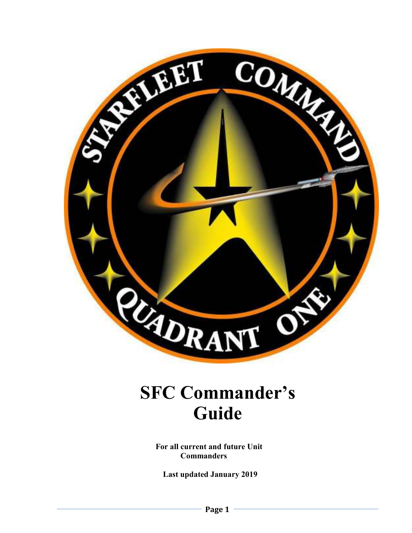

# **SFC Commander's Guide**

 **For all current and future Unit Commanders** 

 **Last updated January 2019**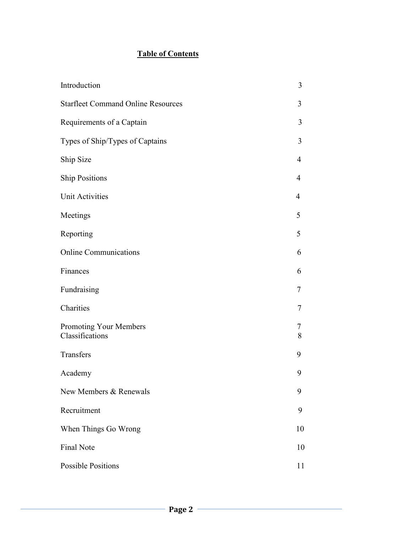# **Table of Contents**

| Introduction                              | 3              |
|-------------------------------------------|----------------|
| <b>Starfleet Command Online Resources</b> | 3              |
| Requirements of a Captain                 | 3              |
| Types of Ship/Types of Captains           | 3              |
| Ship Size                                 | $\overline{4}$ |
| <b>Ship Positions</b>                     | 4              |
| <b>Unit Activities</b>                    | $\overline{4}$ |
| Meetings                                  | 5              |
| Reporting                                 | 5              |
| <b>Online Communications</b>              | 6              |
| Finances                                  | 6              |
| Fundraising                               | 7              |
| Charities                                 | 7              |
| Promoting Your Members<br>Classifications | 7<br>8         |
| Transfers                                 | 9              |
| Academy                                   | 9              |
| New Members & Renewals                    | 9              |
| Recruitment                               | 9              |
| When Things Go Wrong                      | 10             |
| <b>Final Note</b>                         | 10             |
| <b>Possible Positions</b>                 | 11             |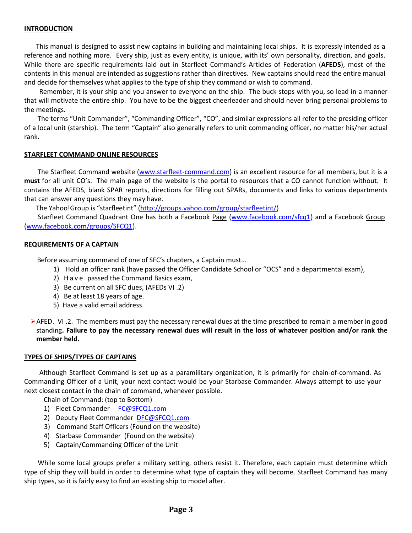#### **INTRODUCTION**

 This manual is designed to assist new captains in building and maintaining local ships. It is expressly intended as a reference and nothing more. Every ship, just as every entity, is unique, with its' own personality, direction, and goals. While there are specific requirements laid out in Starfleet Command's Articles of Federation (**AFEDS**), most of the contents in this manual are intended as suggestions rather than directives. New captains should read the entire manual and decide for themselves what applies to the type of ship they command or wish to command.

 Remember, it is your ship and you answer to everyone on the ship. The buck stops with you, so lead in a manner that will motivate the entire ship. You have to be the biggest cheerleader and should never bring personal problems to the meetings.

 The terms "Unit Commander", "Commanding Officer", "CO", and similar expressions all refer to the presiding officer of a local unit (starship). The term "Captain" also generally refers to unit commanding officer, no matter his/her actual rank.

#### **STARFLEET COMMAND ONLINE RESOURCES**

 The Starfleet Command website (www.starfleet-command.com) is an excellent resource for all members, but it is a **must** for all unit CO's. The main page of the website is the portal to resources that a CO cannot function without. It contains the AFEDS, blank SPAR reports, directions for filling out SPARs, documents and links to various departments that can answer any questions they may have.

The Yahoo!Group is "starfleetint" (http://groups.yahoo.com/group/starfleetint/)

Starfleet Command Quadrant One has both a Facebook Page (www.facebook.com/sfcq1) and a Facebook Group (www.facebook.com/groups/SFCQ1).

#### **REQUIREMENTS OF A CAPTAIN**

Before assuming command of one of SFC's chapters, a Captain must…

- 1) Hold an officer rank (have passed the Officer Candidate School or "OCS" and a departmental exam),
- 2) Have passed the Command Basics exam,
- 3) Be current on all SFC dues, (AFEDs VI .2)
- 4) Be at least 18 years of age.
- 5) Have a valid email address.
- AFED. VI .2. The members must pay the necessary renewal dues at the time prescribed to remain a member in good standing**. Failure to pay the necessary renewal dues will result in the loss of whatever position and/or rank the member held.**

#### **TYPES OF SHIPS/TYPES OF CAPTAINS**

 Although Starfleet Command is set up as a paramilitary organization, it is primarily for chain-of-command. As Commanding Officer of a Unit, your next contact would be your Starbase Commander. Always attempt to use your next closest contact in the chain of command, whenever possible.

Chain of Command: (top to Bottom)

- 1) Fleet Commander FC@SFCQ1.com
- 2) Deputy Fleet Commander DFC@SFCQ1.com
- 3) Command Staff Officers (Found on the website)
- 4) Starbase Commander (Found on the website)
- 5) Captain/Commanding Officer of the Unit

While some local groups prefer a military setting, others resist it. Therefore, each captain must determine which type of ship they will build in order to determine what type of captain they will become. Starfleet Command has many ship types, so it is fairly easy to find an existing ship to model after.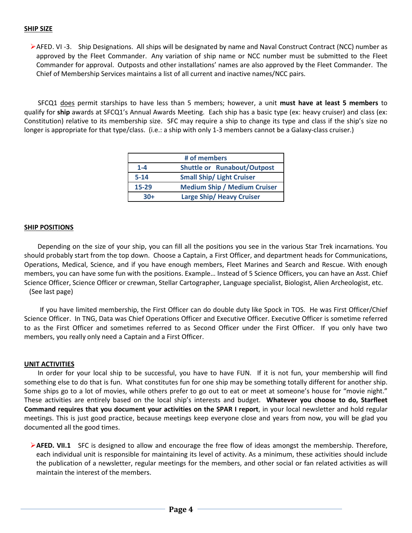#### **SHIP SIZE**

AFED. VI -3. Ship Designations. All ships will be designated by name and Naval Construct Contract (NCC) number as approved by the Fleet Commander. Any variation of ship name or NCC number must be submitted to the Fleet Commander for approval. Outposts and other installations' names are also approved by the Fleet Commander. The Chief of Membership Services maintains a list of all current and inactive names/NCC pairs.

 SFCQ1 does permit starships to have less than 5 members; however, a unit **must have at least 5 members** to qualify for **ship** awards at SFCQ1's Annual Awards Meeting.Each ship has a basic type (ex: heavy cruiser) and class (ex: Constitution) relative to its membership size. SFC may require a ship to change its type and class if the ship's size no longer is appropriate for that type/class. (i.e.: a ship with only 1-3 members cannot be a Galaxy-class cruiser.)

| # of members |                                     |  |  |
|--------------|-------------------------------------|--|--|
| $1 - 4$      | <b>Shuttle or Runabout/Outpost</b>  |  |  |
| $5 - 14$     | <b>Small Ship/ Light Cruiser</b>    |  |  |
| 15-29        | <b>Medium Ship / Medium Cruiser</b> |  |  |
| $30+$        | Large Ship/ Heavy Cruiser           |  |  |

#### **SHIP POSITIONS**

 Depending on the size of your ship, you can fill all the positions you see in the various Star Trek incarnations. You should probably start from the top down. Choose a Captain, a First Officer, and department heads for Communications, Operations, Medical, Science, and if you have enough members, Fleet Marines and Search and Rescue. With enough members, you can have some fun with the positions. Example… Instead of 5 Science Officers, you can have an Asst. Chief Science Officer, Science Officer or crewman, Stellar Cartographer, Language specialist, Biologist, Alien Archeologist, etc. (See last page)

 If you have limited membership, the First Officer can do double duty like Spock in TOS. He was First Officer/Chief Science Officer. In TNG, Data was Chief Operations Officer and Executive Officer. Executive Officer is sometime referred to as the First Officer and sometimes referred to as Second Officer under the First Officer. If you only have two members, you really only need a Captain and a First Officer.

#### **UNIT ACTIVITIES**

 In order for your local ship to be successful, you have to have FUN. If it is not fun, your membership will find something else to do that is fun. What constitutes fun for one ship may be something totally different for another ship. Some ships go to a lot of movies, while others prefer to go out to eat or meet at someone's house for "movie night." These activities are entirely based on the local ship's interests and budget. **Whatever you choose to do, Starfleet Command requires that you document your activities on the SPAR I report**, in your local newsletter and hold regular meetings. This is just good practice, because meetings keep everyone close and years from now, you will be glad you documented all the good times.

**AFED. VII.1** SFC is designed to allow and encourage the free flow of ideas amongst the membership. Therefore, each individual unit is responsible for maintaining its level of activity. As a minimum, these activities should include the publication of a newsletter, regular meetings for the members, and other social or fan related activities as will maintain the interest of the members.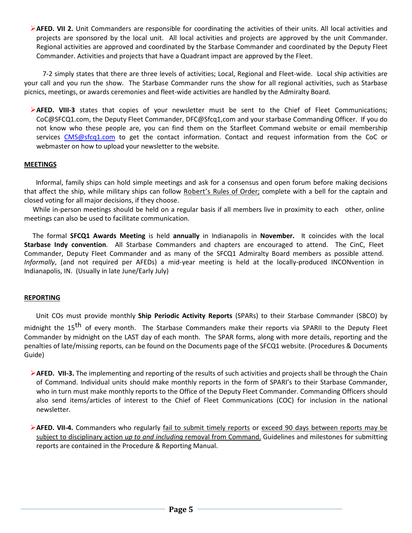**AFED. VII 2.** Unit Commanders are responsible for coordinating the activities of their units. All local activities and projects are sponsored by the local unit. All local activities and projects are approved by the unit Commander. Regional activities are approved and coordinated by the Starbase Commander and coordinated by the Deputy Fleet Commander. Activities and projects that have a Quadrant impact are approved by the Fleet.

 7-2 simply states that there are three levels of activities; Local, Regional and Fleet-wide. Local ship activities are your call and you run the show. The Starbase Commander runs the show for all regional activities, such as Starbase picnics, meetings, or awards ceremonies and fleet-wide activities are handled by the Admiralty Board.

**AFED. VIII-3** states that copies of your newsletter must be sent to the Chief of Fleet Communications; CoC@SFCQ1.com, the Deputy Fleet Commander, DFC@Sfcq1,com and your starbase Commanding Officer. If you do not know who these people are, you can find them on the Starfleet Command website or email membership services CMS@sfcq1.com to get the contact information. Contact and request information from the CoC or webmaster on how to upload your newsletter to the website.

# **MEETINGS**

 Informal, family ships can hold simple meetings and ask for a consensus and open forum before making decisions that affect the ship, while military ships can follow Robert's Rules of Order; complete with a bell for the captain and closed voting for all major decisions, if they choose.

 While in-person meetings should be held on a regular basis if all members live in proximity to each other, online meetings can also be used to facilitate communication.

 The formal **SFCQ1 Awards Meeting** is held **annually** in Indianapolis in **November.** It coincides with the local **Starbase Indy convention**. All Starbase Commanders and chapters are encouraged to attend. The CinC, Fleet Commander, Deputy Fleet Commander and as many of the SFCQ1 Admiralty Board members as possible attend. *Informally*, (and not required per AFEDs) a mid-year meeting is held at the locally-produced INCONvention in Indianapolis, IN. (Usually in late June/Early July)

# **REPORTING**

 Unit COs must provide monthly **Ship Periodic Activity Reports** (SPARs) to their Starbase Commander (SBCO) by midnight the 15<sup>th</sup> of every month. The Starbase Commanders make their reports via SPARII to the Deputy Fleet Commander by midnight on the LAST day of each month. The SPAR forms, along with more details, reporting and the penalties of late/missing reports, can be found on the Documents page of the SFCQ1 website. (Procedures & Documents Guide)

- **AFED. VII-3.** The implementing and reporting of the results of such activities and projects shall be through the Chain of Command. Individual units should make monthly reports in the form of SPARI's to their Starbase Commander, who in turn must make monthly reports to the Office of the Deputy Fleet Commander. Commanding Officers should also send items/articles of interest to the Chief of Fleet Communications (COC) for inclusion in the national newsletter.
- **AFED. VII-4.** Commanders who regularly fail to submit timely reports or exceed 90 days between reports may be subject to disciplinary action *up to and including* removal from Command. Guidelines and milestones for submitting reports are contained in the Procedure & Reporting Manual.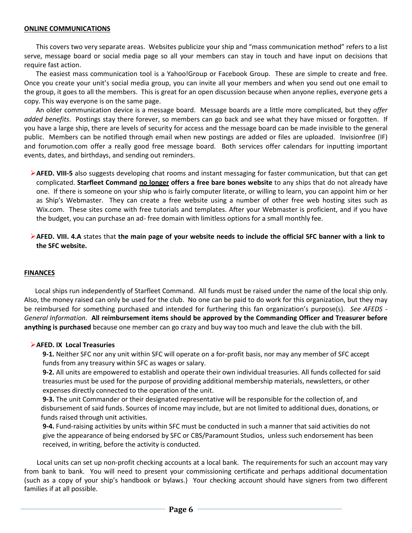#### **ONLINE COMMUNICATIONS**

 This covers two very separate areas. Websites publicize your ship and "mass communication method" refers to a list serve, message board or social media page so all your members can stay in touch and have input on decisions that require fast action.

 The easiest mass communication tool is a Yahoo!Group or Facebook Group. These are simple to create and free. Once you create your unit's social media group, you can invite all your members and when you send out one email to the group, it goes to all the members. This is great for an open discussion because when anyone replies, everyone gets a copy. This way everyone is on the same page.

 An older communication device is a message board. Message boards are a little more complicated, but they *offer added benefits*. Postings stay there forever, so members can go back and see what they have missed or forgotten. If you have a large ship, there are levels of security for access and the message board can be made invisible to the general public. Members can be notified through email when new postings are added or files are uploaded. Invisionfree (IF) and forumotion.com offer a really good free message board. Both services offer calendars for inputting important events, dates, and birthdays, and sending out reminders.

**AFED. VIII-5** also suggests developing chat rooms and instant messaging for faster communication, but that can get complicated. **Starfleet Command no longer offers a free bare bones website** to any ships that do not already have one. If there is someone on your ship who is fairly computer literate, or willing to learn, you can appoint him or her as Ship's Webmaster. They can create a free website using a number of other free web hosting sites such as Wix.com. These sites come with free tutorials and templates. After your Webmaster is proficient, and if you have the budget, you can purchase an ad- free domain with limitless options for a small monthly fee.

**AFED. VIII. 4.A** states that **the main page of your website needs to include the official SFC banner with a link to the SFC website.** 

# **FINANCES**

 Local ships run independently of Starfleet Command. All funds must be raised under the name of the local ship only. Also, the money raised can only be used for the club. No one can be paid to do work for this organization, but they may be reimbursed for something purchased and intended for furthering this fan organization's purpose(s). *See AFEDS - General Information*. **All reimbursement items should be approved by the Commanding Officer and Treasurer before anything is purchased** because one member can go crazy and buy way too much and leave the club with the bill.

#### **AFED. IX Local Treasuries**

 **9-1.** Neither SFC nor any unit within SFC will operate on a for-profit basis, nor may any member of SFC accept funds from any treasury within SFC as wages or salary.

 **9-2.** All units are empowered to establish and operate their own individual treasuries. All funds collected for said treasuries must be used for the purpose of providing additional membership materials, newsletters, or other expenses directly connected to the operation of the unit.

 **9-3.** The unit Commander or their designated representative will be responsible for the collection of, and disbursement of said funds. Sources of income may include, but are not limited to additional dues, donations, or funds raised through unit activities.

 **9-4.** Fund-raising activities by units within SFC must be conducted in such a manner that said activities do not give the appearance of being endorsed by SFC or CBS/Paramount Studios, unless such endorsement has been received, in writing, before the activity is conducted.

 Local units can set up non-profit checking accounts at a local bank. The requirements for such an account may vary from bank to bank. You will need to present your commissioning certificate and perhaps additional documentation (such as a copy of your ship's handbook or bylaws.) Your checking account should have signers from two different families if at all possible.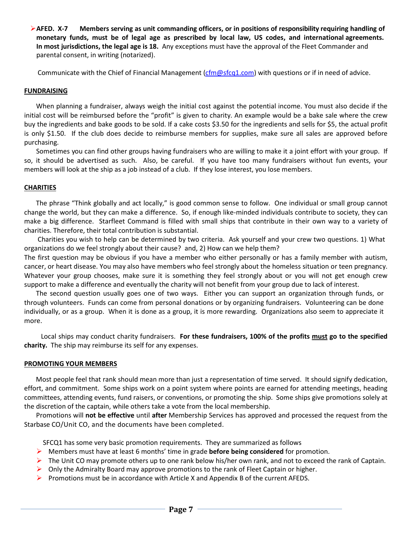**AFED. X-7 Members serving as unit commanding officers, or in positions of responsibility requiring handling of monetary funds, must be of legal age as prescribed by local law, US codes, and international agreements. In most jurisdictions, the legal age is 18.** Any exceptions must have the approval of the Fleet Commander and parental consent, in writing (notarized).

Communicate with the Chief of Financial Management (cfm@sfcq1.com) with questions or if in need of advice.

# **FUNDRAISING**

 When planning a fundraiser, always weigh the initial cost against the potential income. You must also decide if the initial cost will be reimbursed before the "profit" is given to charity. An example would be a bake sale where the crew buy the ingredients and bake goods to be sold. If a cake costs \$3.50 for the ingredients and sells for \$5, the actual profit is only \$1.50. If the club does decide to reimburse members for supplies, make sure all sales are approved before purchasing.

 Sometimes you can find other groups having fundraisers who are willing to make it a joint effort with your group. If so, it should be advertised as such. Also, be careful. If you have too many fundraisers without fun events, your members will look at the ship as a job instead of a club. If they lose interest, you lose members.

# **CHARITIES**

 The phrase "Think globally and act locally," is good common sense to follow. One individual or small group cannot change the world, but they can make a difference. So, if enough like-minded individuals contribute to society, they can make a big difference. Starfleet Command is filled with small ships that contribute in their own way to a variety of charities. Therefore, their total contribution is substantial.

 Charities you wish to help can be determined by two criteria. Ask yourself and your crew two questions. 1) What organizations do we feel strongly about their cause? and, 2) How can we help them?

The first question may be obvious if you have a member who either personally or has a family member with autism, cancer, or heart disease. You may also have members who feel strongly about the homeless situation or teen pregnancy. Whatever your group chooses, make sure it is something they feel strongly about or you will not get enough crew support to make a difference and eventually the charity will not benefit from your group due to lack of interest.

 The second question usually goes one of two ways. Either you can support an organization through funds, or through volunteers. Funds can come from personal donations or by organizing fundraisers. Volunteering can be done individually, or as a group. When it is done as a group, it is more rewarding. Organizations also seem to appreciate it more.

 Local ships may conduct charity fundraisers. **For these fundraisers, 100% of the profits must go to the specified charity.** The ship may reimburse its self for any expenses.

#### **PROMOTING YOUR MEMBERS**

 Most people feel that rank should mean more than just a representation of time served. It should signify dedication, effort, and commitment. Some ships work on a point system where points are earned for attending meetings, heading committees, attending events, fund raisers, or conventions, or promoting the ship. Some ships give promotions solely at the discretion of the captain, while others take a vote from the local membership.

 Promotions will **not be effective** until **after** Membership Services has approved and processed the request from the Starbase CO/Unit CO, and the documents have been completed.

SFCQ1 has some very basic promotion requirements. They are summarized as follows

- Members must have at least 6 months' time in grade **before being considered** for promotion.
- $\triangleright$  The Unit CO may promote others up to one rank below his/her own rank, and not to exceed the rank of Captain.
- $\triangleright$  Only the Admiralty Board may approve promotions to the rank of Fleet Captain or higher.
- **Promotions must be in accordance with Article X and Appendix B of the current AFEDS.**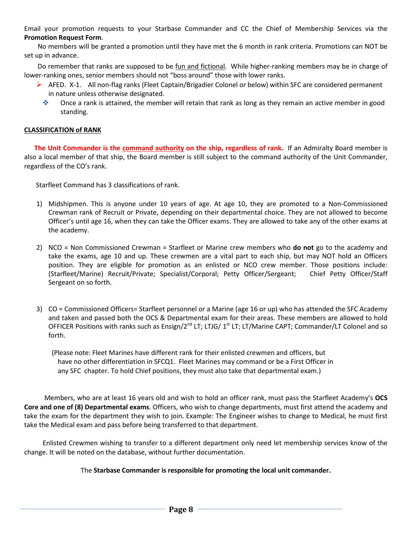Email your promotion requests to your Starbase Commander and CC the Chief of Membership Services via the **Promotion Request Form**.

 No members will be granted a promotion until they have met the 6 month in rank criteria. Promotions can NOT be set up in advance.

Do remember that ranks are supposed to be fun and fictional. While higher-ranking members may be in charge of lower-ranking ones, senior members should not "boss around" those with lower ranks.

- ▶ AFED. X-1. All non-flag ranks (Fleet Captain/Brigadier Colonel or below) within SFC are considered permanent in nature unless otherwise designated.
	- Once a rank is attained, the member will retain that rank as long as they remain an active member in good standing.

# **CLASSIFICATION of RANK**

 **The Unit Commander is the command authority on the ship, regardless of rank.** If an Admiralty Board member is also a local member of that ship, the Board member is still subject to the command authority of the Unit Commander, regardless of the CO's rank.

Starfleet Command has 3 classifications of rank.

- 1) Midshipmen. This is anyone under 10 years of age. At age 10, they are promoted to a Non-Commissioned Crewman rank of Recruit or Private, depending on their departmental choice. They are not allowed to become Officer's until age 16, when they can take the Officer exams. They are allowed to take any of the other exams at the academy.
- 2) NCO = Non Commissioned Crewman = Starfleet or Marine crew members who **do not** go to the academy and take the exams, age 10 and up. These crewmen are a vital part to each ship, but may NOT hold an Officers position. They are eligible for promotion as an enlisted or NCO crew member. Those positions include: (Starfleet/Marine) Recruit/Private; Specialist/Corporal; Petty Officer/Sergeant; Chief Petty Officer/Staff Sergeant on so forth.
- 3) CO = Commissioned Officers= Starfleet personnel or a Marine (age 16 or up) who has attended the SFC Academy and taken and passed both the OCS & Departmental exam for their areas. These members are allowed to hold OFFICER Positions with ranks such as Ensign/2<sup>nd</sup> LT; LTJG/ 1<sup>st</sup> LT; LT/Marine CAPT; Commander/LT Colonel and so forth.
	- (Please note: Fleet Marines have different rank for their enlisted crewmen and officers, but have no other differentiation in SFCQ1. Fleet Marines may command or be a First Officer in any SFC chapter. To hold Chief positions, they must also take that departmental exam.)

 Members, who are at least 16 years old and wish to hold an officer rank, must pass the Starfleet Academy's **OCS Core and one of (8) Departmental exams**. Officers, who wish to change departments, must first attend the academy and take the exam for the department they wish to join. Example: The Engineer wishes to change to Medical, he must first take the Medical exam and pass before being transferred to that department.

 Enlisted Crewmen wishing to transfer to a different department only need let membership services know of the change. It will be noted on the database, without further documentation.

# The **Starbase Commander is responsible for promoting the local unit commander.**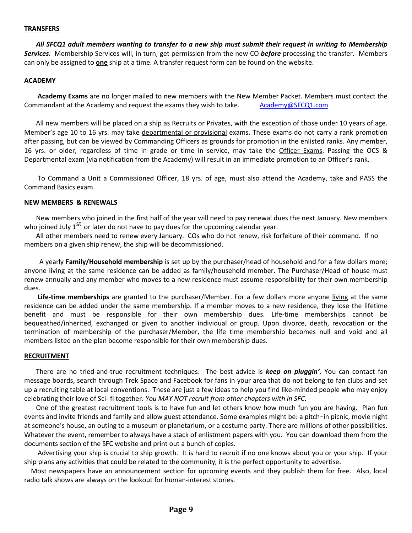#### **TRANSFERS**

 *All SFCQ1 adult members wanting to transfer to a new ship must submit their request in writing to Membership Services*. Membership Services will, in turn, get permission from the new CO *before* processing the transfer. Members can only be assigned to **one** ship at a time. A transfer request form can be found on the website.

#### **ACADEMY**

 **Academy Exams** are no longer mailed to new members with the New Member Packet. Members must contact the Commandant at the Academy and request the exams they wish to take. Academy@SFCQ1.com

 All new members will be placed on a ship as Recruits or Privates, with the exception of those under 10 years of age. Member's age 10 to 16 yrs. may take departmental or provisional exams. These exams do not carry a rank promotion after passing, but can be viewed by Commanding Officers as grounds for promotion in the enlisted ranks. Any member, 16 yrs. or older, regardless of time in grade or time in service, may take the Officer Exams. Passing the OCS & Departmental exam (via notification from the Academy) will result in an immediate promotion to an Officer's rank.

To Command a Unit a Commissioned Officer, 18 yrs. of age, must also attend the Academy, take and PASS the Command Basics exam.

#### **NEW MEMBERS & RENEWALS**

 New members who joined in the first half of the year will need to pay renewal dues the next January. New members who joined July  $1^{st}$  or later do not have to pay dues for the upcoming calendar year.

 All other members need to renew every January. COs who do not renew, risk forfeiture of their command. If no members on a given ship renew, the ship will be decommissioned.

 A yearly **Family/Household membership** is set up by the purchaser/head of household and for a few dollars more; anyone living at the same residence can be added as family/household member. The Purchaser/Head of house must renew annually and any member who moves to a new residence must assume responsibility for their own membership dues.

 **Life-time memberships** are granted to the purchaser/Member. For a few dollars more anyone living at the same residence can be added under the same membership. If a member moves to a new residence, they lose the lifetime benefit and must be responsible for their own membership dues. Life-time memberships cannot be bequeathed/inherited, exchanged or given to another individual or group. Upon divorce, death, revocation or the termination of membership of the purchaser/Member, the life time membership becomes null and void and all members listed on the plan become responsible for their own membership dues.

#### **RECRUITMENT**

 There are no tried-and-true recruitment techniques. The best advice is *keep on pluggin'*. You can contact fan message boards, search through Trek Space and Facebook for fans in your area that do not belong to fan clubs and set up a recruiting table at local conventions. These are just a few ideas to help you find like-minded people who may enjoy celebrating their love of Sci- fi together. *You MAY NOT recruit from other chapters with in SFC*.

 One of the greatest recruitment tools is to have fun and let others know how much fun you are having. Plan fun events and invite friends and family and allow guest attendance. Some examples might be: a pitch–in picnic, movie night at someone's house, an outing to a museum or planetarium, or a costume party. There are millions of other possibilities. Whatever the event, remember to always have a stack of enlistment papers with you. You can download them from the documents section of the SFC website and print out a bunch of copies.

 Advertising your ship is crucial to ship growth. It is hard to recruit if no one knows about you or your ship. If your ship plans any activities that could be related to the community, it is the perfect opportunity to advertise.

 Most newspapers have an announcement section for upcoming events and they publish them for free. Also, local radio talk shows are always on the lookout for human-interest stories.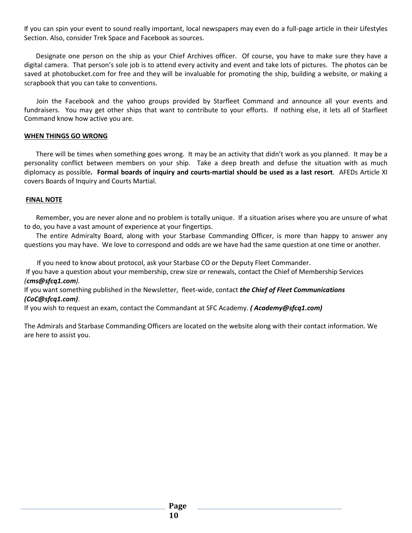If you can spin your event to sound really important, local newspapers may even do a full-page article in their Lifestyles Section. Also, consider Trek Space and Facebook as sources.

 Designate one person on the ship as your Chief Archives officer. Of course, you have to make sure they have a digital camera. That person's sole job is to attend every activity and event and take lots of pictures. The photos can be saved at photobucket.com for free and they will be invaluable for promoting the ship, building a website, or making a scrapbook that you can take to conventions.

 Join the Facebook and the yahoo groups provided by Starfleet Command and announce all your events and fundraisers. You may get other ships that want to contribute to your efforts. If nothing else, it lets all of Starfleet Command know how active you are.

# **WHEN THINGS GO WRONG**

 There will be times when something goes wrong. It may be an activity that didn't work as you planned. It may be a personality conflict between members on your ship. Take a deep breath and defuse the situation with as much diplomacy as possible**. Formal boards of inquiry and courts-martial should be used as a last resort**. AFEDs Article XI covers Boards of Inquiry and Courts Martial.

# **FINAL NOTE**

 Remember, you are never alone and no problem is totally unique. If a situation arises where you are unsure of what to do, you have a vast amount of experience at your fingertips.

 The entire Admiralty Board, along with your Starbase Commanding Officer, is more than happy to answer any questions you may have. We love to correspond and odds are we have had the same question at one time or another.

If you need to know about protocol, ask your Starbase CO or the Deputy Fleet Commander.

 If you have a question about your membership, crew size or renewals, contact the Chief of Membership Services *(cms@sfcq1.com).* 

If you want something published in the Newsletter, fleet-wide, contact *the Chief of Fleet Communications (CoC@sfcq1.com)*.

If you wish to request an exam, contact the Commandant at SFC Academy. *( Academy@sfcq1.com)*

The Admirals and Starbase Commanding Officers are located on the website along with their contact information. We are here to assist you.